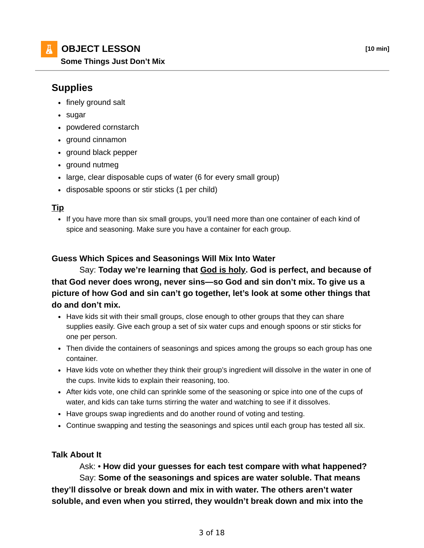

**Some Things Just Don't Mix**

# **Supplies**

- finely ground salt
- sugar
- powdered cornstarch
- ground cinnamon
- ground black pepper
- ground nutmeg
- large, clear disposable cups of water (6 for every small group)
- disposable spoons or stir sticks (1 per child)

#### **Tip**

If you have more than six small groups, you'll need more than one container of each kind of spice and seasoning. Make sure you have a container for each group.

### **Guess Which Spices and Seasonings Will Mix Into Water**

## Say: **Today we're learning that God is holy. God is perfect, and because of that God never does wrong, never sins—so God and sin don't mix. To give us a picture of how God and sin can't go together, let's look at some other things that do and don't mix.**

- Have kids sit with their small groups, close enough to other groups that they can share supplies easily. Give each group a set of six water cups and enough spoons or stir sticks for one per person.
- Then divide the containers of seasonings and spices among the groups so each group has one container.
- Have kids vote on whether they think their group's ingredient will dissolve in the water in one of the cups. Invite kids to explain their reasoning, too.
- After kids vote, one child can sprinkle some of the seasoning or spice into one of the cups of water, and kids can take turns stirring the water and watching to see if it dissolves.
- Have groups swap ingredients and do another round of voting and testing.
- Continue swapping and testing the seasonings and spices until each group has tested all six.

#### **Talk About It**

## Ask: • **How did your guesses for each test compare with what happened?** Say: **Some of the seasonings and spices are water soluble. That means they'll dissolve or break down and mix in with water. The others aren't water soluble, and even when you stirred, they wouldn't break down and mix into the**